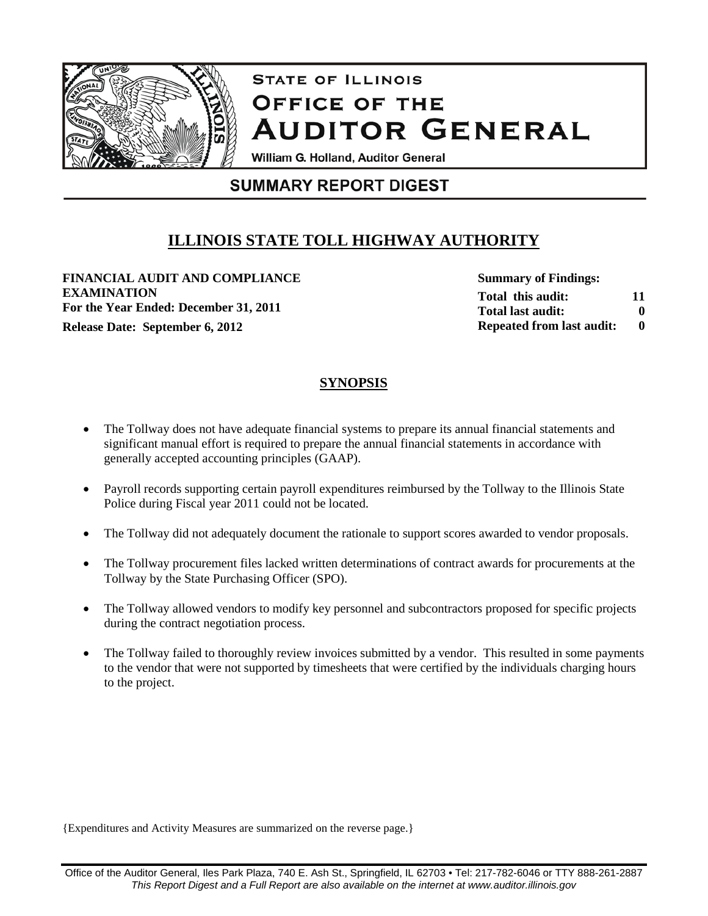

# **STATE OF ILLINOIS** OFFICE OF THE **AUDITOR GENERAL**

William G. Holland, Auditor General

## **SUMMARY REPORT DIGEST**

## **ILLINOIS STATE TOLL HIGHWAY AUTHORITY**

**FINANCIAL AUDIT AND COMPLIANCE EXAMINATION For the Year Ended: December 31, 2011 Release Date: September 6, 2012 0**

**Summary of Findings: Total this audit: Total last audit: Repeated from last audit: 11 0**

## **SYNOPSIS**

- The Tollway does not have adequate financial systems to prepare its annual financial statements and significant manual effort is required to prepare the annual financial statements in accordance with generally accepted accounting principles (GAAP).
- Payroll records supporting certain payroll expenditures reimbursed by the Tollway to the Illinois State Police during Fiscal year 2011 could not be located.
- The Tollway did not adequately document the rationale to support scores awarded to vendor proposals.
- The Tollway procurement files lacked written determinations of contract awards for procurements at the Tollway by the State Purchasing Officer (SPO).
- The Tollway allowed vendors to modify key personnel and subcontractors proposed for specific projects during the contract negotiation process.
- The Tollway failed to thoroughly review invoices submitted by a vendor. This resulted in some payments to the vendor that were not supported by timesheets that were certified by the individuals charging hours to the project.

{Expenditures and Activity Measures are summarized on the reverse page.}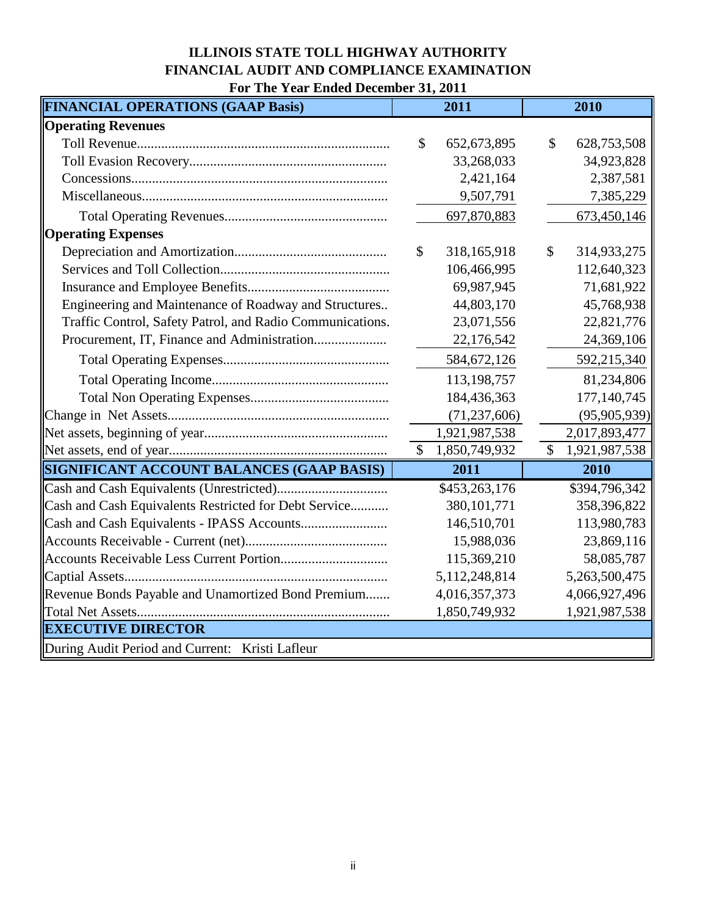## **ILLINOIS STATE TOLL HIGHWAY AUTHORITY FINANCIAL AUDIT AND COMPLIANCE EXAMINATION For The Year Ended December 31, 2011**

| <b>FINANCIAL OPERATIONS (GAAP Basis)</b>                  | 2011                           | 2010                |
|-----------------------------------------------------------|--------------------------------|---------------------|
| <b>Operating Revenues</b>                                 |                                |                     |
|                                                           | $\mathcal{S}$<br>652, 673, 895 | \$<br>628,753,508   |
|                                                           | 33,268,033                     | 34,923,828          |
|                                                           | 2,421,164                      | 2,387,581           |
|                                                           | 9,507,791                      | 7,385,229           |
|                                                           | 697,870,883                    | 673,450,146         |
| <b>Operating Expenses</b>                                 |                                |                     |
|                                                           | \$<br>318,165,918              | \$<br>314,933,275   |
|                                                           | 106,466,995                    | 112,640,323         |
|                                                           | 69,987,945                     | 71,681,922          |
| Engineering and Maintenance of Roadway and Structures     | 44,803,170                     | 45,768,938          |
| Traffic Control, Safety Patrol, and Radio Communications. | 23,071,556                     | 22,821,776          |
|                                                           | 22,176,542                     | 24,369,106          |
|                                                           | 584, 672, 126                  | 592,215,340         |
|                                                           | 113,198,757                    | 81,234,806          |
|                                                           | 184,436,363                    | 177, 140, 745       |
|                                                           | (71, 237, 606)                 | (95,905,939)        |
|                                                           | 1,921,987,538                  | 2,017,893,477       |
|                                                           | \$<br>1,850,749,932            | \$<br>1,921,987,538 |
| <b>SIGNIFICANT ACCOUNT BALANCES (GAAP BASIS)</b>          | 2011                           | 2010                |
|                                                           | \$453,263,176                  | \$394,796,342       |
| Cash and Cash Equivalents Restricted for Debt Service     | 380, 101, 771                  | 358,396,822         |
|                                                           | 146,510,701                    | 113,980,783         |
|                                                           | 15,988,036                     | 23,869,116          |
|                                                           | 115,369,210                    | 58,085,787          |
|                                                           | 5,112,248,814                  | 5,263,500,475       |
| Revenue Bonds Payable and Unamortized Bond Premium        | 4,016,357,373                  | 4,066,927,496       |
|                                                           | 1,850,749,932                  | 1,921,987,538       |
| <b>EXECUTIVE DIRECTOR</b>                                 |                                |                     |
| During Audit Period and Current: Kristi Lafleur           |                                |                     |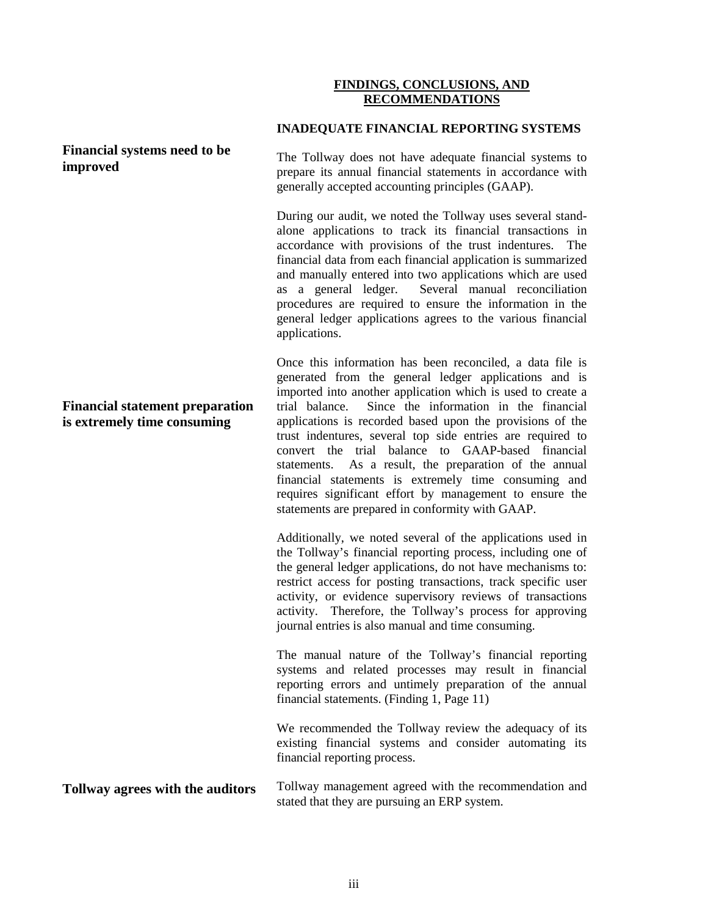### **FINDINGS, CONCLUSIONS, AND RECOMMENDATIONS**

#### **INADEQUATE FINANCIAL REPORTING SYSTEMS**

**Financial systems need to be improved**

The Tollway does not have adequate financial systems to prepare its annual financial statements in accordance with generally accepted accounting principles (GAAP).

During our audit, we noted the Tollway uses several standalone applications to track its financial transactions in accordance with provisions of the trust indentures. The financial data from each financial application is summarized and manually entered into two applications which are used as a general ledger. Several manual reconciliation procedures are required to ensure the information in the general ledger applications agrees to the various financial applications.

Once this information has been reconciled, a data file is generated from the general ledger applications and is imported into another application which is used to create a trial balance. Since the information in the financial applications is recorded based upon the provisions of the trust indentures, several top side entries are required to convert the trial balance to GAAP-based financial statements. As a result, the preparation of the annual financial statements is extremely time consuming and requires significant effort by management to ensure the statements are prepared in conformity with GAAP.

Additionally, we noted several of the applications used in the Tollway's financial reporting process, including one of the general ledger applications, do not have mechanisms to: restrict access for posting transactions, track specific user activity, or evidence supervisory reviews of transactions activity. Therefore, the Tollway's process for approving journal entries is also manual and time consuming.

The manual nature of the Tollway's financial reporting systems and related processes may result in financial reporting errors and untimely preparation of the annual financial statements. (Finding 1, Page 11)

We recommended the Tollway review the adequacy of its existing financial systems and consider automating its financial reporting process.

#### **Tollway agrees with the auditors** Tollway management agreed with the recommendation and stated that they are pursuing an ERP system.

## **Financial statement preparation is extremely time consuming**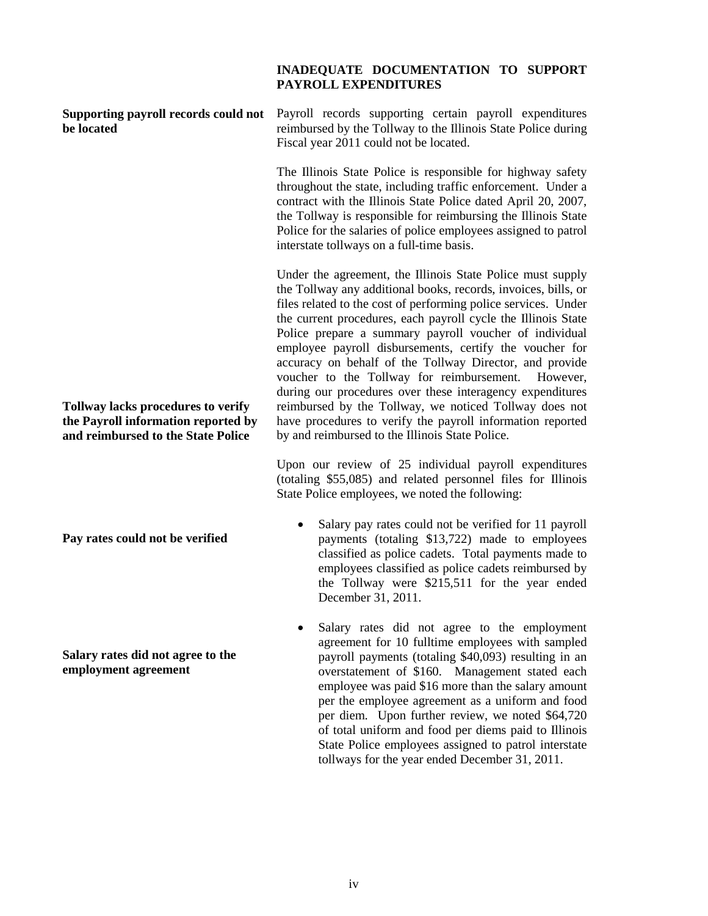#### **INADEQUATE DOCUMENTATION TO SUPPORT PAYROLL EXPENDITURES**

**be located**

Supporting payroll records could not Payroll records supporting certain payroll expenditures reimbursed by the Tollway to the Illinois State Police during Fiscal year 2011 could not be located.

> The Illinois State Police is responsible for highway safety throughout the state, including traffic enforcement. Under a contract with the Illinois State Police dated April 20, 2007, the Tollway is responsible for reimbursing the Illinois State Police for the salaries of police employees assigned to patrol interstate tollways on a full-time basis.

> Under the agreement, the Illinois State Police must supply the Tollway any additional books, records, invoices, bills, or files related to the cost of performing police services. Under the current procedures, each payroll cycle the Illinois State Police prepare a summary payroll voucher of individual employee payroll disbursements, certify the voucher for accuracy on behalf of the Tollway Director, and provide voucher to the Tollway for reimbursement. However, during our procedures over these interagency expenditures reimbursed by the Tollway, we noticed Tollway does not have procedures to verify the payroll information reported by and reimbursed to the Illinois State Police.

> Upon our review of 25 individual payroll expenditures (totaling \$55,085) and related personnel files for Illinois State Police employees, we noted the following:

- Salary pay rates could not be verified for 11 payroll payments (totaling \$13,722) made to employees classified as police cadets. Total payments made to employees classified as police cadets reimbursed by the Tollway were \$215,511 for the year ended December 31, 2011.
- Salary rates did not agree to the employment agreement for 10 fulltime employees with sampled payroll payments (totaling \$40,093) resulting in an overstatement of \$160. Management stated each employee was paid \$16 more than the salary amount per the employee agreement as a uniform and food per diem. Upon further review, we noted \$64,720 of total uniform and food per diems paid to Illinois State Police employees assigned to patrol interstate tollways for the year ended December 31, 2011.

**Tollway lacks procedures to verify the Payroll information reported by and reimbursed to the State Police**

**Pay rates could not be verified**

**Salary rates did not agree to the employment agreement**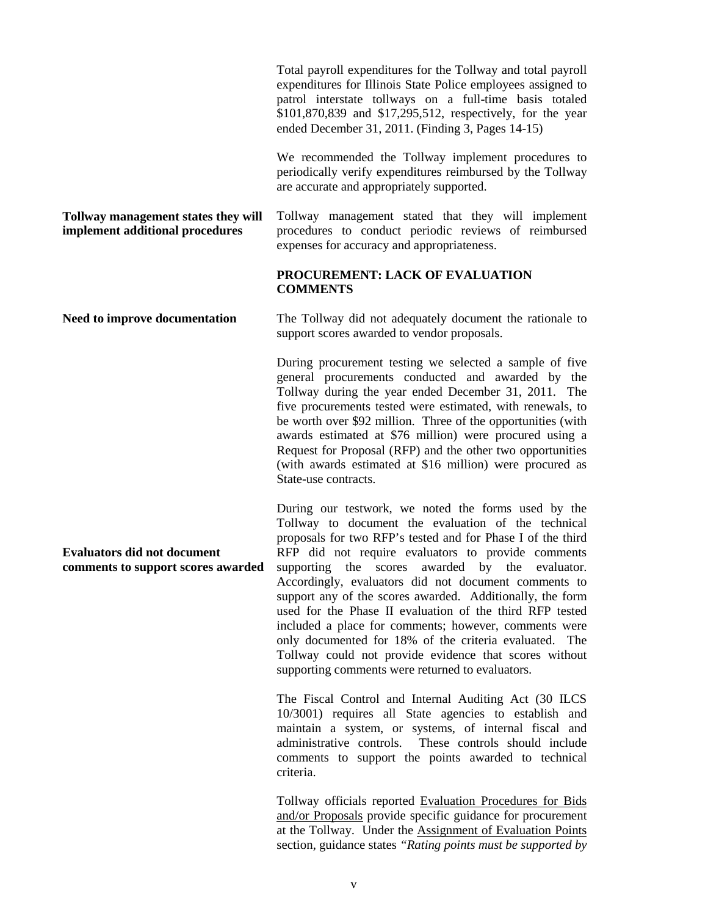Total payroll expenditures for the Tollway and total payroll expenditures for Illinois State Police employees assigned to patrol interstate tollways on a full-time basis totaled \$101,870,839 and \$17,295,512, respectively, for the year ended December 31, 2011. (Finding 3, Pages 14-15)

We recommended the Tollway implement procedures to periodically verify expenditures reimbursed by the Tollway are accurate and appropriately supported.

**Tollway management states they will implement additional procedures** Tollway management stated that they will implement procedures to conduct periodic reviews of reimbursed expenses for accuracy and appropriateness.

#### **PROCUREMENT: LACK OF EVALUATION COMMENTS**

**Need to improve documentation** The Tollway did not adequately document the rationale to support scores awarded to vendor proposals.

> During procurement testing we selected a sample of five general procurements conducted and awarded by the Tollway during the year ended December 31, 2011. The five procurements tested were estimated, with renewals, to be worth over \$92 million. Three of the opportunities (with awards estimated at \$76 million) were procured using a Request for Proposal (RFP) and the other two opportunities (with awards estimated at \$16 million) were procured as State-use contracts.

> During our testwork, we noted the forms used by the Tollway to document the evaluation of the technical proposals for two RFP's tested and for Phase I of the third RFP did not require evaluators to provide comments supporting the scores awarded by the evaluator. Accordingly, evaluators did not document comments to support any of the scores awarded. Additionally, the form used for the Phase II evaluation of the third RFP tested included a place for comments; however, comments were only documented for 18% of the criteria evaluated. The Tollway could not provide evidence that scores without supporting comments were returned to evaluators.

> The Fiscal Control and Internal Auditing Act (30 ILCS 10/3001) requires all State agencies to establish and maintain a system, or systems, of internal fiscal and administrative controls. These controls should include comments to support the points awarded to technical criteria.

> Tollway officials reported Evaluation Procedures for Bids and/or Proposals provide specific guidance for procurement at the Tollway. Under the Assignment of Evaluation Points section, guidance states *"Rating points must be supported by*

**Evaluators did not document comments to support scores awarded**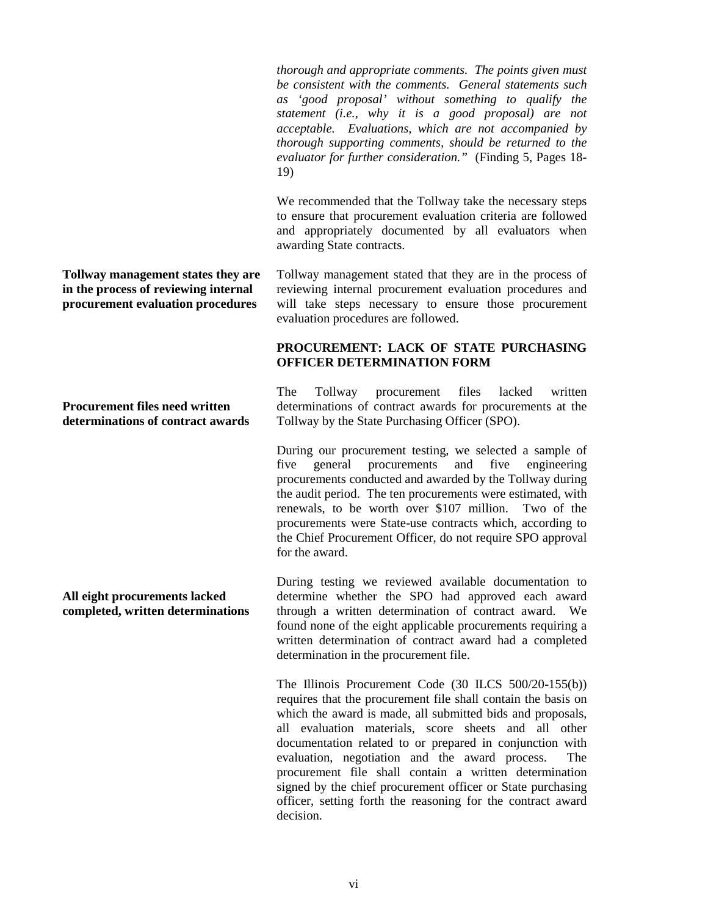*thorough and appropriate comments. The points given must be consistent with the comments. General statements such as 'good proposal' without something to qualify the statement (i.e., why it is a good proposal) are not acceptable. Evaluations, which are not accompanied by thorough supporting comments, should be returned to the evaluator for further consideration."* (Finding 5, Pages 18- 19)

We recommended that the Tollway take the necessary steps to ensure that procurement evaluation criteria are followed and appropriately documented by all evaluators when awarding State contracts.

Tollway management stated that they are in the process of reviewing internal procurement evaluation procedures and will take steps necessary to ensure those procurement evaluation procedures are followed.

## **PROCUREMENT: LACK OF STATE PURCHASING OFFICER DETERMINATION FORM**

The Tollway procurement files lacked written determinations of contract awards for procurements at the Tollway by the State Purchasing Officer (SPO).

During our procurement testing, we selected a sample of five general procurements and five engineering five general procurements and five engineering procurements conducted and awarded by the Tollway during the audit period. The ten procurements were estimated, with renewals, to be worth over \$107 million. Two of the procurements were State-use contracts which, according to the Chief Procurement Officer, do not require SPO approval for the award.

During testing we reviewed available documentation to determine whether the SPO had approved each award through a written determination of contract award. We found none of the eight applicable procurements requiring a written determination of contract award had a completed determination in the procurement file.

The Illinois Procurement Code (30 ILCS 500/20-155(b)) requires that the procurement file shall contain the basis on which the award is made, all submitted bids and proposals, all evaluation materials, score sheets and all other documentation related to or prepared in conjunction with evaluation, negotiation and the award process. The procurement file shall contain a written determination signed by the chief procurement officer or State purchasing officer, setting forth the reasoning for the contract award decision.

**Tollway management states they are in the process of reviewing internal procurement evaluation procedures**

#### **Procurement files need written determinations of contract awards**

**All eight procurements lacked completed, written determinations**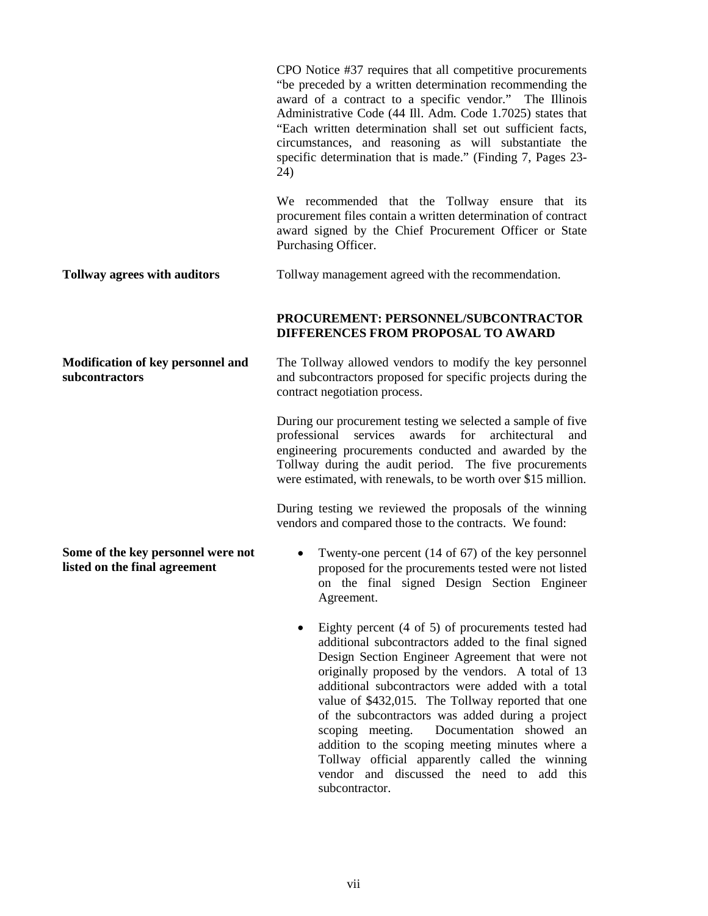CPO Notice #37 requires that all competitive procurements "be preceded by a written determination recommending the award of a contract to a specific vendor." The Illinois Administrative Code (44 Ill. Adm. Code 1.7025) states that "Each written determination shall set out sufficient facts, circumstances, and reasoning as will substantiate the specific determination that is made." (Finding 7, Pages 23- 24)

We recommended that the Tollway ensure that its procurement files contain a written determination of contract award signed by the Chief Procurement Officer or State Purchasing Officer.

**Tollway agrees with auditors** Tollway management agreed with the recommendation.

## **PROCUREMENT: PERSONNEL/SUBCONTRACTOR DIFFERENCES FROM PROPOSAL TO AWARD**

**Modification of key personnel and**  The Tollway allowed vendors to modify the key personnel and subcontractors proposed for specific projects during the contract negotiation process.

> During our procurement testing we selected a sample of five professional services awards for architectural and engineering procurements conducted and awarded by the Tollway during the audit period. The five procurements were estimated, with renewals, to be worth over \$15 million.

> During testing we reviewed the proposals of the winning vendors and compared those to the contracts. We found:

- Twenty-one percent (14 of 67) of the key personnel proposed for the procurements tested were not listed on the final signed Design Section Engineer Agreement.
- Eighty percent (4 of 5) of procurements tested had additional subcontractors added to the final signed Design Section Engineer Agreement that were not originally proposed by the vendors. A total of 13 additional subcontractors were added with a total value of \$432,015. The Tollway reported that one of the subcontractors was added during a project scoping meeting. Documentation showed an addition to the scoping meeting minutes where a Tollway official apparently called the winning vendor and discussed the need to add this subcontractor.

**Some of the key personnel were not listed on the final agreement**

**subcontractors**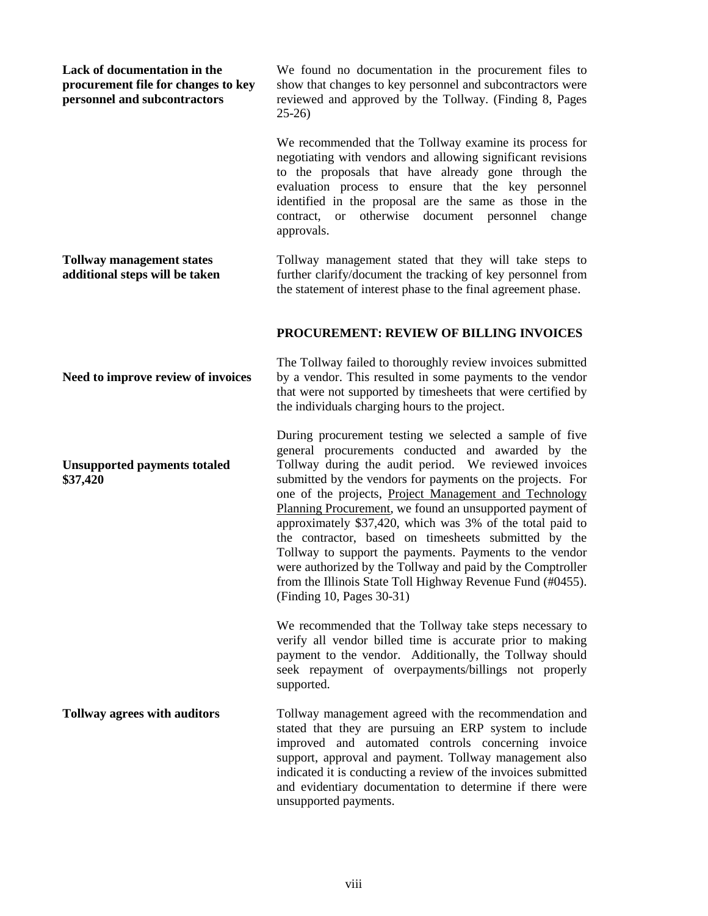| Lack of documentation in the<br>procurement file for changes to key<br>personnel and subcontractors | We found no documentation in the procurement files to<br>show that changes to key personnel and subcontractors were<br>reviewed and approved by the Tollway. (Finding 8, Pages<br>$25-26$                                                                                                                                                                                                                                                                                                                                                                                                                                                                                                          |
|-----------------------------------------------------------------------------------------------------|----------------------------------------------------------------------------------------------------------------------------------------------------------------------------------------------------------------------------------------------------------------------------------------------------------------------------------------------------------------------------------------------------------------------------------------------------------------------------------------------------------------------------------------------------------------------------------------------------------------------------------------------------------------------------------------------------|
|                                                                                                     | We recommended that the Tollway examine its process for<br>negotiating with vendors and allowing significant revisions<br>to the proposals that have already gone through the<br>evaluation process to ensure that the key personnel<br>identified in the proposal are the same as those in the<br>otherwise document personnel change<br>contract,<br><b>or</b><br>approvals.                                                                                                                                                                                                                                                                                                                     |
| <b>Tollway management states</b><br>additional steps will be taken                                  | Tollway management stated that they will take steps to<br>further clarify/document the tracking of key personnel from<br>the statement of interest phase to the final agreement phase.                                                                                                                                                                                                                                                                                                                                                                                                                                                                                                             |
|                                                                                                     | PROCUREMENT: REVIEW OF BILLING INVOICES                                                                                                                                                                                                                                                                                                                                                                                                                                                                                                                                                                                                                                                            |
| Need to improve review of invoices                                                                  | The Tollway failed to thoroughly review invoices submitted<br>by a vendor. This resulted in some payments to the vendor<br>that were not supported by timesheets that were certified by<br>the individuals charging hours to the project.                                                                                                                                                                                                                                                                                                                                                                                                                                                          |
| <b>Unsupported payments totaled</b><br>\$37,420                                                     | During procurement testing we selected a sample of five<br>general procurements conducted and awarded by the<br>Tollway during the audit period. We reviewed invoices<br>submitted by the vendors for payments on the projects. For<br>one of the projects, Project Management and Technology<br>Planning Procurement, we found an unsupported payment of<br>approximately \$37,420, which was 3% of the total paid to<br>the contractor, based on timesheets submitted by the<br>Tollway to support the payments. Payments to the vendor<br>were authorized by the Tollway and paid by the Comptroller<br>from the Illinois State Toll Highway Revenue Fund (#0455).<br>(Finding 10, Pages 30-31) |
|                                                                                                     | We recommended that the Tollway take steps necessary to<br>verify all vendor billed time is accurate prior to making<br>payment to the vendor. Additionally, the Tollway should<br>seek repayment of overpayments/billings not properly<br>supported.                                                                                                                                                                                                                                                                                                                                                                                                                                              |
| <b>Tollway agrees with auditors</b>                                                                 | Tollway management agreed with the recommendation and<br>stated that they are pursuing an ERP system to include<br>improved and automated controls concerning invoice<br>support, approval and payment. Tollway management also<br>indicated it is conducting a review of the invoices submitted<br>and evidentiary documentation to determine if there were<br>unsupported payments.                                                                                                                                                                                                                                                                                                              |